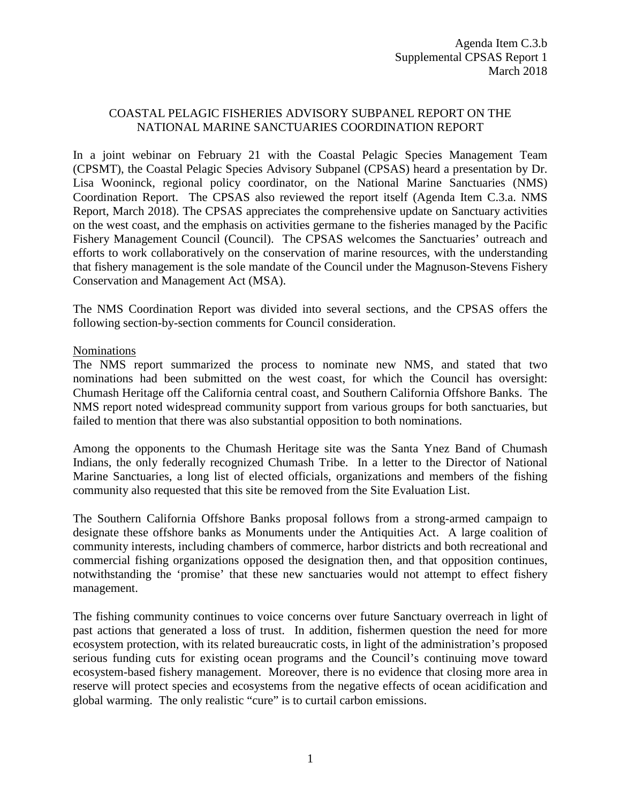# COASTAL PELAGIC FISHERIES ADVISORY SUBPANEL REPORT ON THE NATIONAL MARINE SANCTUARIES COORDINATION REPORT

In a joint webinar on February 21 with the Coastal Pelagic Species Management Team (CPSMT), the Coastal Pelagic Species Advisory Subpanel (CPSAS) heard a presentation by Dr. Lisa Wooninck, regional policy coordinator, on the National Marine Sanctuaries (NMS) Coordination Report. The CPSAS also reviewed the report itself (Agenda Item C.3.a. NMS Report, March 2018). The CPSAS appreciates the comprehensive update on Sanctuary activities on the west coast, and the emphasis on activities germane to the fisheries managed by the Pacific Fishery Management Council (Council). The CPSAS welcomes the Sanctuaries' outreach and efforts to work collaboratively on the conservation of marine resources, with the understanding that fishery management is the sole mandate of the Council under the Magnuson-Stevens Fishery Conservation and Management Act (MSA).

The NMS Coordination Report was divided into several sections, and the CPSAS offers the following section-by-section comments for Council consideration.

# Nominations

The NMS report summarized the process to nominate new NMS, and stated that two nominations had been submitted on the west coast, for which the Council has oversight: Chumash Heritage off the California central coast, and Southern California Offshore Banks. The NMS report noted widespread community support from various groups for both sanctuaries, but failed to mention that there was also substantial opposition to both nominations.

Among the opponents to the Chumash Heritage site was the Santa Ynez Band of Chumash Indians, the only federally recognized Chumash Tribe. In a letter to the Director of National Marine Sanctuaries, a long list of elected officials, organizations and members of the fishing community also requested that this site be removed from the Site Evaluation List.

The Southern California Offshore Banks proposal follows from a strong-armed campaign to designate these offshore banks as Monuments under the Antiquities Act. A large coalition of community interests, including chambers of commerce, harbor districts and both recreational and commercial fishing organizations opposed the designation then, and that opposition continues, notwithstanding the 'promise' that these new sanctuaries would not attempt to effect fishery management.

The fishing community continues to voice concerns over future Sanctuary overreach in light of past actions that generated a loss of trust. In addition, fishermen question the need for more ecosystem protection, with its related bureaucratic costs, in light of the administration's proposed serious funding cuts for existing ocean programs and the Council's continuing move toward ecosystem-based fishery management. Moreover, there is no evidence that closing more area in reserve will protect species and ecosystems from the negative effects of ocean acidification and global warming. The only realistic "cure" is to curtail carbon emissions.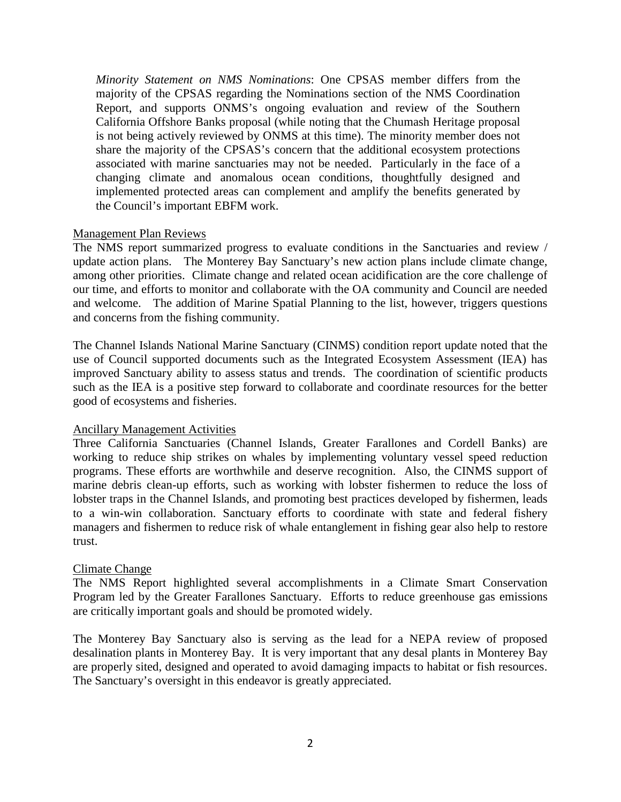*Minority Statement on NMS Nominations*: One CPSAS member differs from the majority of the CPSAS regarding the Nominations section of the NMS Coordination Report, and supports ONMS's ongoing evaluation and review of the Southern California Offshore Banks proposal (while noting that the Chumash Heritage proposal is not being actively reviewed by ONMS at this time). The minority member does not share the majority of the CPSAS's concern that the additional ecosystem protections associated with marine sanctuaries may not be needed. Particularly in the face of a changing climate and anomalous ocean conditions, thoughtfully designed and implemented protected areas can complement and amplify the benefits generated by the Council's important EBFM work.

### Management Plan Reviews

The NMS report summarized progress to evaluate conditions in the Sanctuaries and review / update action plans. The Monterey Bay Sanctuary's new action plans include climate change, among other priorities. Climate change and related ocean acidification are the core challenge of our time, and efforts to monitor and collaborate with the OA community and Council are needed and welcome. The addition of Marine Spatial Planning to the list, however, triggers questions and concerns from the fishing community.

The Channel Islands National Marine Sanctuary (CINMS) condition report update noted that the use of Council supported documents such as the Integrated Ecosystem Assessment (IEA) has improved Sanctuary ability to assess status and trends. The coordination of scientific products such as the IEA is a positive step forward to collaborate and coordinate resources for the better good of ecosystems and fisheries.

# Ancillary Management Activities

Three California Sanctuaries (Channel Islands, Greater Farallones and Cordell Banks) are working to reduce ship strikes on whales by implementing voluntary vessel speed reduction programs. These efforts are worthwhile and deserve recognition. Also, the CINMS support of marine debris clean-up efforts, such as working with lobster fishermen to reduce the loss of lobster traps in the Channel Islands, and promoting best practices developed by fishermen, leads to a win-win collaboration. Sanctuary efforts to coordinate with state and federal fishery managers and fishermen to reduce risk of whale entanglement in fishing gear also help to restore trust.

# Climate Change

The NMS Report highlighted several accomplishments in a Climate Smart Conservation Program led by the Greater Farallones Sanctuary. Efforts to reduce greenhouse gas emissions are critically important goals and should be promoted widely.

The Monterey Bay Sanctuary also is serving as the lead for a NEPA review of proposed desalination plants in Monterey Bay. It is very important that any desal plants in Monterey Bay are properly sited, designed and operated to avoid damaging impacts to habitat or fish resources. The Sanctuary's oversight in this endeavor is greatly appreciated.